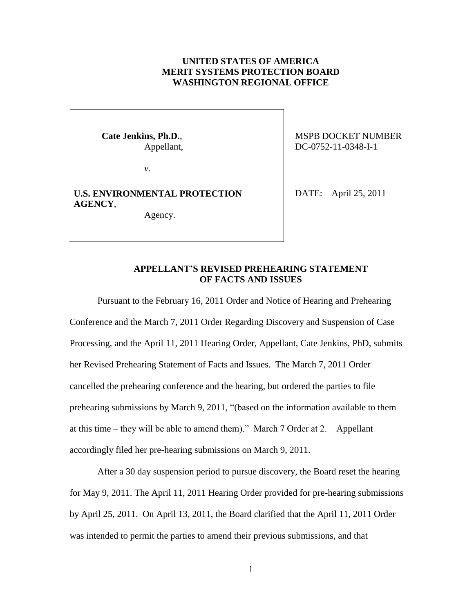## **UNITED STATES OF AMERICA MERIT SYSTEMS PROTECTION BOARD WASHINGTON REGIONAL OFFICE**

*v.*

# **U.S. ENVIRONMENTAL PROTECTION AGENCY**,

Agency.

Cate Jenkins, Ph.D., MSPB DOCKET NUMBER Appellant,  $DC-0752-11-0348-I-1$ 

DATE: April 25, 2011

## **APPELLANT'S REVISED PREHEARING STATEMENT OF FACTS AND ISSUES**

Pursuant to the February 16, 2011 Order and Notice of Hearing and Prehearing Conference and the March 7, 2011 Order Regarding Discovery and Suspension of Case Processing, and the April 11, 2011 Hearing Order, Appellant, Cate Jenkins, PhD, submits her Revised Prehearing Statement of Facts and Issues. The March 7, 2011 Order cancelled the prehearing conference and the hearing, but ordered the parties to file prehearing submissions by March 9, 2011, "(based on the information available to them at this time – they will be able to amend them)." March 7 Order at 2. Appellant accordingly filed her pre-hearing submissions on March 9, 2011.

After a 30 day suspension period to pursue discovery, the Board reset the hearing for May 9, 2011. The April 11, 2011 Hearing Order provided for pre-hearing submissions by April 25, 2011. On April 13, 2011, the Board clarified that the April 11, 2011 Order was intended to permit the parties to amend their previous submissions, and that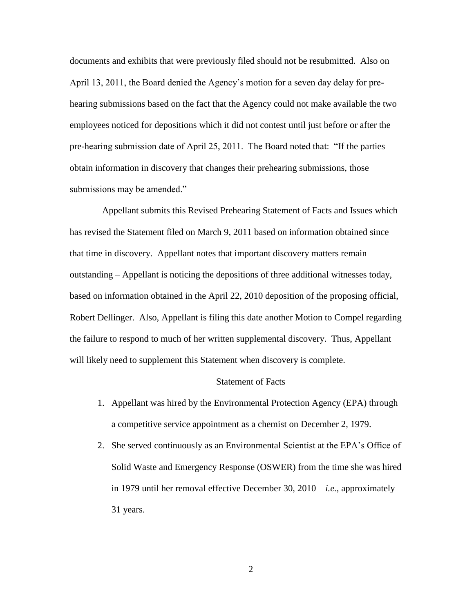documents and exhibits that were previously filed should not be resubmitted. Also on April 13, 2011, the Board denied the Agency's motion for a seven day delay for prehearing submissions based on the fact that the Agency could not make available the two employees noticed for depositions which it did not contest until just before or after the pre-hearing submission date of April 25, 2011. The Board noted that: "If the parties obtain information in discovery that changes their prehearing submissions, those submissions may be amended."

 Appellant submits this Revised Prehearing Statement of Facts and Issues which has revised the Statement filed on March 9, 2011 based on information obtained since that time in discovery. Appellant notes that important discovery matters remain outstanding – Appellant is noticing the depositions of three additional witnesses today, based on information obtained in the April 22, 2010 deposition of the proposing official, Robert Dellinger. Also, Appellant is filing this date another Motion to Compel regarding the failure to respond to much of her written supplemental discovery. Thus, Appellant will likely need to supplement this Statement when discovery is complete.

#### Statement of Facts

- 1. Appellant was hired by the Environmental Protection Agency (EPA) through a competitive service appointment as a chemist on December 2, 1979.
- 2. She served continuously as an Environmental Scientist at the EPA's Office of Solid Waste and Emergency Response (OSWER) from the time she was hired in 1979 until her removal effective December 30, 2010 – *i.e.*, approximately 31 years.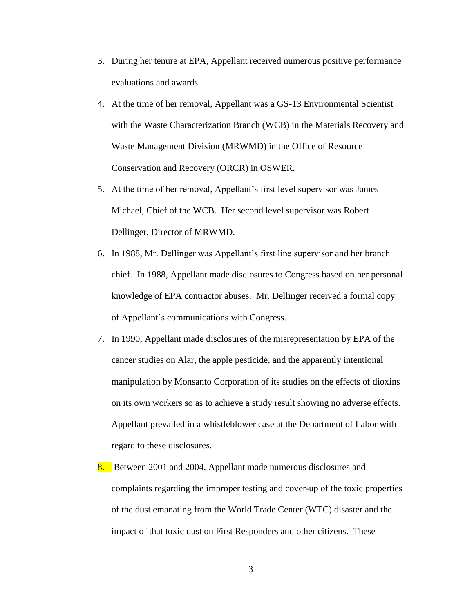- 3. During her tenure at EPA, Appellant received numerous positive performance evaluations and awards.
- 4. At the time of her removal, Appellant was a GS-13 Environmental Scientist with the Waste Characterization Branch (WCB) in the Materials Recovery and Waste Management Division (MRWMD) in the Office of Resource Conservation and Recovery (ORCR) in OSWER.
- 5. At the time of her removal, Appellant's first level supervisor was James Michael, Chief of the WCB. Her second level supervisor was Robert Dellinger, Director of MRWMD.
- 6. In 1988, Mr. Dellinger was Appellant's first line supervisor and her branch chief. In 1988, Appellant made disclosures to Congress based on her personal knowledge of EPA contractor abuses. Mr. Dellinger received a formal copy of Appellant's communications with Congress.
- 7. In 1990, Appellant made disclosures of the misrepresentation by EPA of the cancer studies on Alar, the apple pesticide, and the apparently intentional manipulation by Monsanto Corporation of its studies on the effects of dioxins on its own workers so as to achieve a study result showing no adverse effects. Appellant prevailed in a whistleblower case at the Department of Labor with regard to these disclosures.
- 8. Between 2001 and 2004, Appellant made numerous disclosures and complaints regarding the improper testing and cover-up of the toxic properties of the dust emanating from the World Trade Center (WTC) disaster and the impact of that toxic dust on First Responders and other citizens. These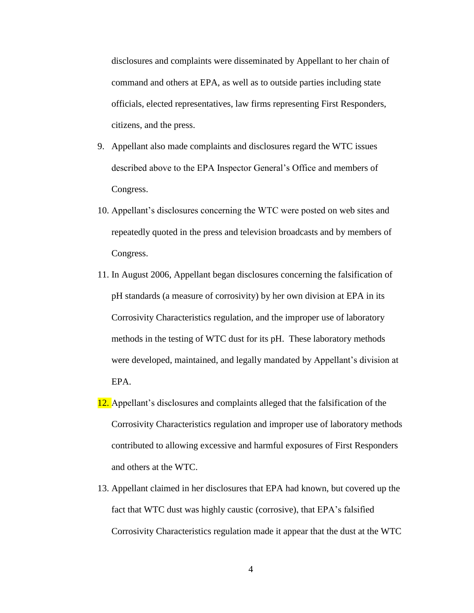disclosures and complaints were disseminated by Appellant to her chain of command and others at EPA, as well as to outside parties including state officials, elected representatives, law firms representing First Responders, citizens, and the press.

- 9. Appellant also made complaints and disclosures regard the WTC issues described above to the EPA Inspector General's Office and members of Congress.
- 10. Appellant's disclosures concerning the WTC were posted on web sites and repeatedly quoted in the press and television broadcasts and by members of Congress.
- 11. In August 2006, Appellant began disclosures concerning the falsification of pH standards (a measure of corrosivity) by her own division at EPA in its Corrosivity Characteristics regulation, and the improper use of laboratory methods in the testing of WTC dust for its pH. These laboratory methods were developed, maintained, and legally mandated by Appellant's division at EPA.
- 12. Appellant's disclosures and complaints alleged that the falsification of the Corrosivity Characteristics regulation and improper use of laboratory methods contributed to allowing excessive and harmful exposures of First Responders and others at the WTC.
- 13. Appellant claimed in her disclosures that EPA had known, but covered up the fact that WTC dust was highly caustic (corrosive), that EPA's falsified Corrosivity Characteristics regulation made it appear that the dust at the WTC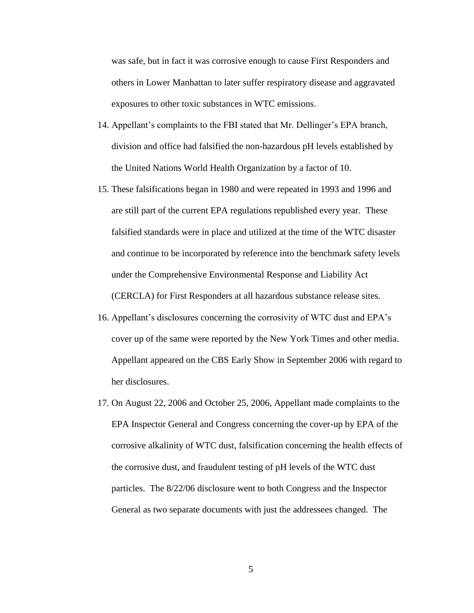was safe, but in fact it was corrosive enough to cause First Responders and others in Lower Manhattan to later suffer respiratory disease and aggravated exposures to other toxic substances in WTC emissions.

- 14. Appellant's complaints to the FBI stated that Mr. Dellinger's EPA branch, division and office had falsified the non-hazardous pH levels established by the United Nations World Health Organization by a factor of 10.
- 15. These falsifications began in 1980 and were repeated in 1993 and 1996 and are still part of the current EPA regulations republished every year. These falsified standards were in place and utilized at the time of the WTC disaster and continue to be incorporated by reference into the benchmark safety levels under the Comprehensive Environmental Response and Liability Act (CERCLA) for First Responders at all hazardous substance release sites.
- 16. Appellant's disclosures concerning the corrosivity of WTC dust and EPA's cover up of the same were reported by the New York Times and other media. Appellant appeared on the CBS Early Show in September 2006 with regard to her disclosures.
- 17. On August 22, 2006 and October 25, 2006, Appellant made complaints to the EPA Inspector General and Congress concerning the cover-up by EPA of the corrosive alkalinity of WTC dust, falsification concerning the health effects of the corrosive dust, and fraudulent testing of pH levels of the WTC dust particles. The 8/22/06 disclosure went to both Congress and the Inspector General as two separate documents with just the addressees changed. The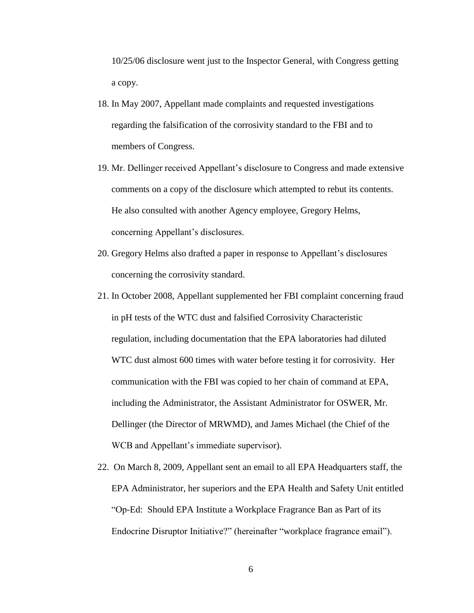10/25/06 disclosure went just to the Inspector General, with Congress getting a copy.

- 18. In May 2007, Appellant made complaints and requested investigations regarding the falsification of the corrosivity standard to the FBI and to members of Congress.
- 19. Mr. Dellinger received Appellant's disclosure to Congress and made extensive comments on a copy of the disclosure which attempted to rebut its contents. He also consulted with another Agency employee, Gregory Helms, concerning Appellant's disclosures.
- 20. Gregory Helms also drafted a paper in response to Appellant's disclosures concerning the corrosivity standard.
- 21. In October 2008, Appellant supplemented her FBI complaint concerning fraud in pH tests of the WTC dust and falsified Corrosivity Characteristic regulation, including documentation that the EPA laboratories had diluted WTC dust almost 600 times with water before testing it for corrosivity. Her communication with the FBI was copied to her chain of command at EPA, including the Administrator, the Assistant Administrator for OSWER, Mr. Dellinger (the Director of MRWMD), and James Michael (the Chief of the WCB and Appellant's immediate supervisor).
- 22. On March 8, 2009, Appellant sent an email to all EPA Headquarters staff, the EPA Administrator, her superiors and the EPA Health and Safety Unit entitled "Op-Ed: Should EPA Institute a Workplace Fragrance Ban as Part of its Endocrine Disruptor Initiative?" (hereinafter "workplace fragrance email").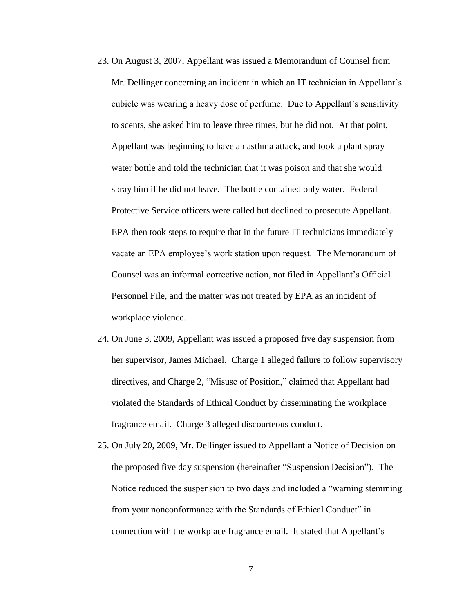- 23. On August 3, 2007, Appellant was issued a Memorandum of Counsel from Mr. Dellinger concerning an incident in which an IT technician in Appellant's cubicle was wearing a heavy dose of perfume. Due to Appellant's sensitivity to scents, she asked him to leave three times, but he did not. At that point, Appellant was beginning to have an asthma attack, and took a plant spray water bottle and told the technician that it was poison and that she would spray him if he did not leave. The bottle contained only water. Federal Protective Service officers were called but declined to prosecute Appellant. EPA then took steps to require that in the future IT technicians immediately vacate an EPA employee's work station upon request. The Memorandum of Counsel was an informal corrective action, not filed in Appellant's Official Personnel File, and the matter was not treated by EPA as an incident of workplace violence.
- 24. On June 3, 2009, Appellant was issued a proposed five day suspension from her supervisor, James Michael. Charge 1 alleged failure to follow supervisory directives, and Charge 2, "Misuse of Position," claimed that Appellant had violated the Standards of Ethical Conduct by disseminating the workplace fragrance email. Charge 3 alleged discourteous conduct.
- 25. On July 20, 2009, Mr. Dellinger issued to Appellant a Notice of Decision on the proposed five day suspension (hereinafter "Suspension Decision"). The Notice reduced the suspension to two days and included a "warning stemming from your nonconformance with the Standards of Ethical Conduct" in connection with the workplace fragrance email. It stated that Appellant's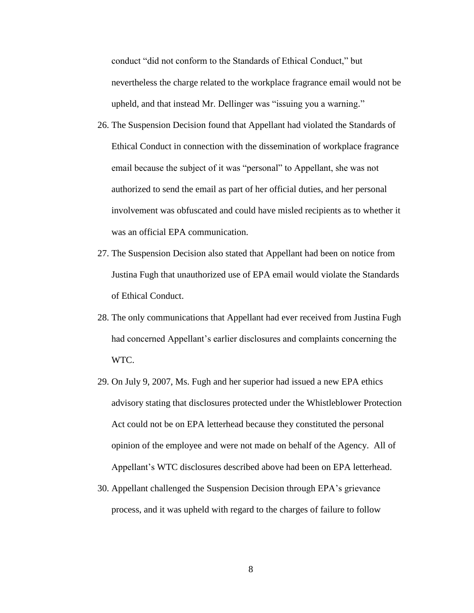conduct "did not conform to the Standards of Ethical Conduct," but nevertheless the charge related to the workplace fragrance email would not be upheld, and that instead Mr. Dellinger was "issuing you a warning."

- 26. The Suspension Decision found that Appellant had violated the Standards of Ethical Conduct in connection with the dissemination of workplace fragrance email because the subject of it was "personal" to Appellant, she was not authorized to send the email as part of her official duties, and her personal involvement was obfuscated and could have misled recipients as to whether it was an official EPA communication.
- 27. The Suspension Decision also stated that Appellant had been on notice from Justina Fugh that unauthorized use of EPA email would violate the Standards of Ethical Conduct.
- 28. The only communications that Appellant had ever received from Justina Fugh had concerned Appellant's earlier disclosures and complaints concerning the WTC.
- 29. On July 9, 2007, Ms. Fugh and her superior had issued a new EPA ethics advisory stating that disclosures protected under the Whistleblower Protection Act could not be on EPA letterhead because they constituted the personal opinion of the employee and were not made on behalf of the Agency. All of Appellant's WTC disclosures described above had been on EPA letterhead.
- 30. Appellant challenged the Suspension Decision through EPA's grievance process, and it was upheld with regard to the charges of failure to follow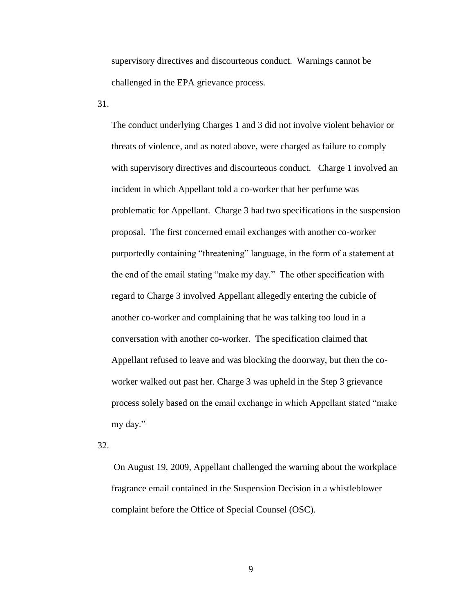supervisory directives and discourteous conduct. Warnings cannot be challenged in the EPA grievance process.

31.

The conduct underlying Charges 1 and 3 did not involve violent behavior or threats of violence, and as noted above, were charged as failure to comply with supervisory directives and discourteous conduct. Charge 1 involved an incident in which Appellant told a co-worker that her perfume was problematic for Appellant. Charge 3 had two specifications in the suspension proposal. The first concerned email exchanges with another co-worker purportedly containing "threatening" language, in the form of a statement at the end of the email stating "make my day." The other specification with regard to Charge 3 involved Appellant allegedly entering the cubicle of another co-worker and complaining that he was talking too loud in a conversation with another co-worker. The specification claimed that Appellant refused to leave and was blocking the doorway, but then the coworker walked out past her. Charge 3 was upheld in the Step 3 grievance process solely based on the email exchange in which Appellant stated "make my day."

32.

On August 19, 2009, Appellant challenged the warning about the workplace fragrance email contained in the Suspension Decision in a whistleblower complaint before the Office of Special Counsel (OSC).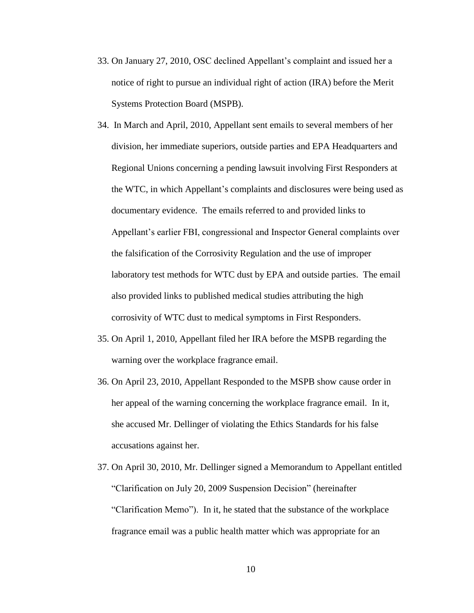- 33. On January 27, 2010, OSC declined Appellant's complaint and issued her a notice of right to pursue an individual right of action (IRA) before the Merit Systems Protection Board (MSPB).
- 34. In March and April, 2010, Appellant sent emails to several members of her division, her immediate superiors, outside parties and EPA Headquarters and Regional Unions concerning a pending lawsuit involving First Responders at the WTC, in which Appellant's complaints and disclosures were being used as documentary evidence. The emails referred to and provided links to Appellant's earlier FBI, congressional and Inspector General complaints over the falsification of the Corrosivity Regulation and the use of improper laboratory test methods for WTC dust by EPA and outside parties. The email also provided links to published medical studies attributing the high corrosivity of WTC dust to medical symptoms in First Responders.
- 35. On April 1, 2010, Appellant filed her IRA before the MSPB regarding the warning over the workplace fragrance email.
- 36. On April 23, 2010, Appellant Responded to the MSPB show cause order in her appeal of the warning concerning the workplace fragrance email. In it, she accused Mr. Dellinger of violating the Ethics Standards for his false accusations against her.
- 37. On April 30, 2010, Mr. Dellinger signed a Memorandum to Appellant entitled "Clarification on July 20, 2009 Suspension Decision" (hereinafter "Clarification Memo"). In it, he stated that the substance of the workplace fragrance email was a public health matter which was appropriate for an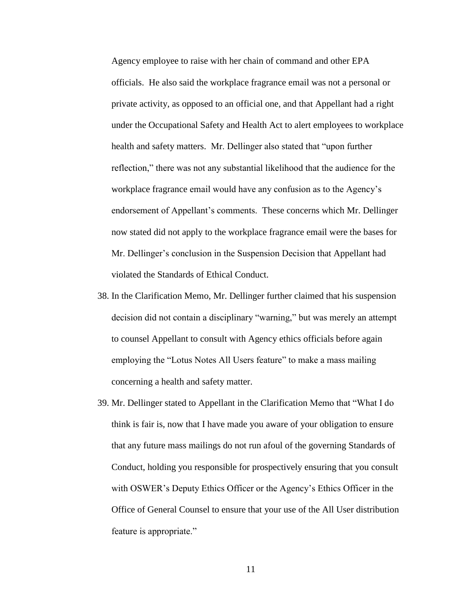Agency employee to raise with her chain of command and other EPA officials. He also said the workplace fragrance email was not a personal or private activity, as opposed to an official one, and that Appellant had a right under the Occupational Safety and Health Act to alert employees to workplace health and safety matters. Mr. Dellinger also stated that "upon further reflection," there was not any substantial likelihood that the audience for the workplace fragrance email would have any confusion as to the Agency's endorsement of Appellant's comments. These concerns which Mr. Dellinger now stated did not apply to the workplace fragrance email were the bases for Mr. Dellinger's conclusion in the Suspension Decision that Appellant had violated the Standards of Ethical Conduct.

- 38. In the Clarification Memo, Mr. Dellinger further claimed that his suspension decision did not contain a disciplinary "warning," but was merely an attempt to counsel Appellant to consult with Agency ethics officials before again employing the "Lotus Notes All Users feature" to make a mass mailing concerning a health and safety matter.
- 39. Mr. Dellinger stated to Appellant in the Clarification Memo that "What I do think is fair is, now that I have made you aware of your obligation to ensure that any future mass mailings do not run afoul of the governing Standards of Conduct, holding you responsible for prospectively ensuring that you consult with OSWER's Deputy Ethics Officer or the Agency's Ethics Officer in the Office of General Counsel to ensure that your use of the All User distribution feature is appropriate."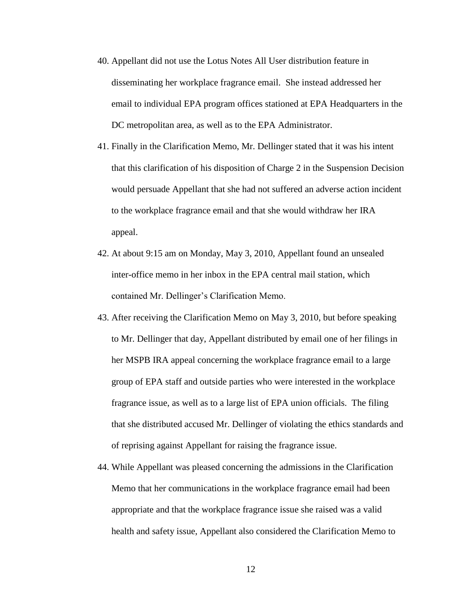- 40. Appellant did not use the Lotus Notes All User distribution feature in disseminating her workplace fragrance email. She instead addressed her email to individual EPA program offices stationed at EPA Headquarters in the DC metropolitan area, as well as to the EPA Administrator.
- 41. Finally in the Clarification Memo, Mr. Dellinger stated that it was his intent that this clarification of his disposition of Charge 2 in the Suspension Decision would persuade Appellant that she had not suffered an adverse action incident to the workplace fragrance email and that she would withdraw her IRA appeal.
- 42. At about 9:15 am on Monday, May 3, 2010, Appellant found an unsealed inter-office memo in her inbox in the EPA central mail station, which contained Mr. Dellinger's Clarification Memo.
- 43. After receiving the Clarification Memo on May 3, 2010, but before speaking to Mr. Dellinger that day, Appellant distributed by email one of her filings in her MSPB IRA appeal concerning the workplace fragrance email to a large group of EPA staff and outside parties who were interested in the workplace fragrance issue, as well as to a large list of EPA union officials. The filing that she distributed accused Mr. Dellinger of violating the ethics standards and of reprising against Appellant for raising the fragrance issue.
- 44. While Appellant was pleased concerning the admissions in the Clarification Memo that her communications in the workplace fragrance email had been appropriate and that the workplace fragrance issue she raised was a valid health and safety issue, Appellant also considered the Clarification Memo to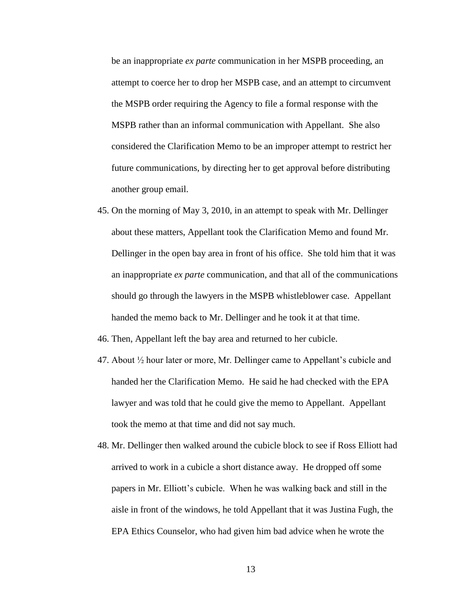be an inappropriate *ex parte* communication in her MSPB proceeding, an attempt to coerce her to drop her MSPB case, and an attempt to circumvent the MSPB order requiring the Agency to file a formal response with the MSPB rather than an informal communication with Appellant. She also considered the Clarification Memo to be an improper attempt to restrict her future communications, by directing her to get approval before distributing another group email.

- 45. On the morning of May 3, 2010, in an attempt to speak with Mr. Dellinger about these matters, Appellant took the Clarification Memo and found Mr. Dellinger in the open bay area in front of his office. She told him that it was an inappropriate *ex parte* communication, and that all of the communications should go through the lawyers in the MSPB whistleblower case. Appellant handed the memo back to Mr. Dellinger and he took it at that time.
- 46. Then, Appellant left the bay area and returned to her cubicle.
- 47. About ½ hour later or more, Mr. Dellinger came to Appellant's cubicle and handed her the Clarification Memo. He said he had checked with the EPA lawyer and was told that he could give the memo to Appellant. Appellant took the memo at that time and did not say much.
- 48. Mr. Dellinger then walked around the cubicle block to see if Ross Elliott had arrived to work in a cubicle a short distance away. He dropped off some papers in Mr. Elliott's cubicle. When he was walking back and still in the aisle in front of the windows, he told Appellant that it was Justina Fugh, the EPA Ethics Counselor, who had given him bad advice when he wrote the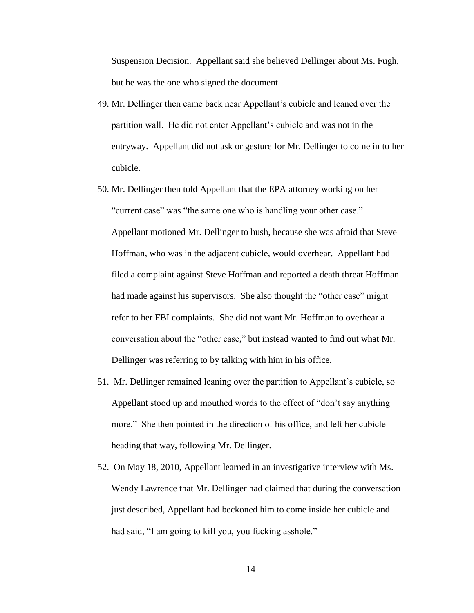Suspension Decision. Appellant said she believed Dellinger about Ms. Fugh, but he was the one who signed the document.

- 49. Mr. Dellinger then came back near Appellant's cubicle and leaned over the partition wall. He did not enter Appellant's cubicle and was not in the entryway. Appellant did not ask or gesture for Mr. Dellinger to come in to her cubicle.
- 50. Mr. Dellinger then told Appellant that the EPA attorney working on her "current case" was "the same one who is handling your other case." Appellant motioned Mr. Dellinger to hush, because she was afraid that Steve Hoffman, who was in the adjacent cubicle, would overhear. Appellant had filed a complaint against Steve Hoffman and reported a death threat Hoffman had made against his supervisors. She also thought the "other case" might refer to her FBI complaints. She did not want Mr. Hoffman to overhear a conversation about the "other case," but instead wanted to find out what Mr. Dellinger was referring to by talking with him in his office.
- 51. Mr. Dellinger remained leaning over the partition to Appellant's cubicle, so Appellant stood up and mouthed words to the effect of "don't say anything more." She then pointed in the direction of his office, and left her cubicle heading that way, following Mr. Dellinger.
- 52. On May 18, 2010, Appellant learned in an investigative interview with Ms. Wendy Lawrence that Mr. Dellinger had claimed that during the conversation just described, Appellant had beckoned him to come inside her cubicle and had said, "I am going to kill you, you fucking asshole."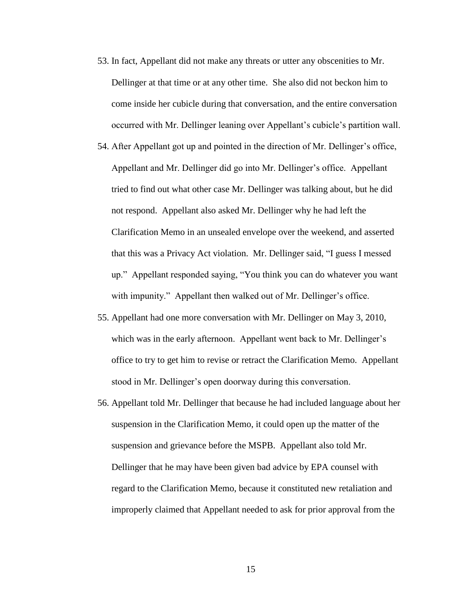- 53. In fact, Appellant did not make any threats or utter any obscenities to Mr. Dellinger at that time or at any other time. She also did not beckon him to come inside her cubicle during that conversation, and the entire conversation occurred with Mr. Dellinger leaning over Appellant's cubicle's partition wall.
- 54. After Appellant got up and pointed in the direction of Mr. Dellinger's office, Appellant and Mr. Dellinger did go into Mr. Dellinger's office. Appellant tried to find out what other case Mr. Dellinger was talking about, but he did not respond. Appellant also asked Mr. Dellinger why he had left the Clarification Memo in an unsealed envelope over the weekend, and asserted that this was a Privacy Act violation. Mr. Dellinger said, "I guess I messed up." Appellant responded saying, "You think you can do whatever you want with impunity." Appellant then walked out of Mr. Dellinger's office.
- 55. Appellant had one more conversation with Mr. Dellinger on May 3, 2010, which was in the early afternoon. Appellant went back to Mr. Dellinger's office to try to get him to revise or retract the Clarification Memo. Appellant stood in Mr. Dellinger's open doorway during this conversation.
- 56. Appellant told Mr. Dellinger that because he had included language about her suspension in the Clarification Memo, it could open up the matter of the suspension and grievance before the MSPB. Appellant also told Mr. Dellinger that he may have been given bad advice by EPA counsel with regard to the Clarification Memo, because it constituted new retaliation and improperly claimed that Appellant needed to ask for prior approval from the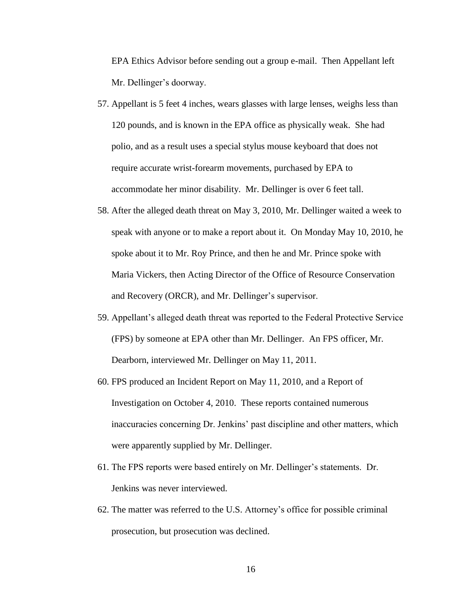EPA Ethics Advisor before sending out a group e-mail. Then Appellant left Mr. Dellinger's doorway.

- 57. Appellant is 5 feet 4 inches, wears glasses with large lenses, weighs less than 120 pounds, and is known in the EPA office as physically weak. She had polio, and as a result uses a special stylus mouse keyboard that does not require accurate wrist-forearm movements, purchased by EPA to accommodate her minor disability. Mr. Dellinger is over 6 feet tall.
- 58. After the alleged death threat on May 3, 2010, Mr. Dellinger waited a week to speak with anyone or to make a report about it. On Monday May 10, 2010, he spoke about it to Mr. Roy Prince, and then he and Mr. Prince spoke with Maria Vickers, then Acting Director of the Office of Resource Conservation and Recovery (ORCR), and Mr. Dellinger's supervisor.
- 59. Appellant's alleged death threat was reported to the Federal Protective Service (FPS) by someone at EPA other than Mr. Dellinger. An FPS officer, Mr. Dearborn, interviewed Mr. Dellinger on May 11, 2011.
- 60. FPS produced an Incident Report on May 11, 2010, and a Report of Investigation on October 4, 2010. These reports contained numerous inaccuracies concerning Dr. Jenkins' past discipline and other matters, which were apparently supplied by Mr. Dellinger.
- 61. The FPS reports were based entirely on Mr. Dellinger's statements. Dr. Jenkins was never interviewed.
- 62. The matter was referred to the U.S. Attorney's office for possible criminal prosecution, but prosecution was declined.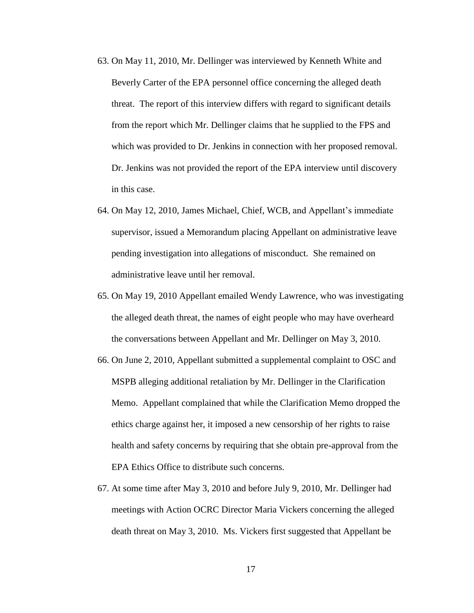- 63. On May 11, 2010, Mr. Dellinger was interviewed by Kenneth White and Beverly Carter of the EPA personnel office concerning the alleged death threat. The report of this interview differs with regard to significant details from the report which Mr. Dellinger claims that he supplied to the FPS and which was provided to Dr. Jenkins in connection with her proposed removal. Dr. Jenkins was not provided the report of the EPA interview until discovery in this case.
- 64. On May 12, 2010, James Michael, Chief, WCB, and Appellant's immediate supervisor, issued a Memorandum placing Appellant on administrative leave pending investigation into allegations of misconduct. She remained on administrative leave until her removal.
- 65. On May 19, 2010 Appellant emailed Wendy Lawrence, who was investigating the alleged death threat, the names of eight people who may have overheard the conversations between Appellant and Mr. Dellinger on May 3, 2010.
- 66. On June 2, 2010, Appellant submitted a supplemental complaint to OSC and MSPB alleging additional retaliation by Mr. Dellinger in the Clarification Memo. Appellant complained that while the Clarification Memo dropped the ethics charge against her, it imposed a new censorship of her rights to raise health and safety concerns by requiring that she obtain pre-approval from the EPA Ethics Office to distribute such concerns.
- 67. At some time after May 3, 2010 and before July 9, 2010, Mr. Dellinger had meetings with Action OCRC Director Maria Vickers concerning the alleged death threat on May 3, 2010. Ms. Vickers first suggested that Appellant be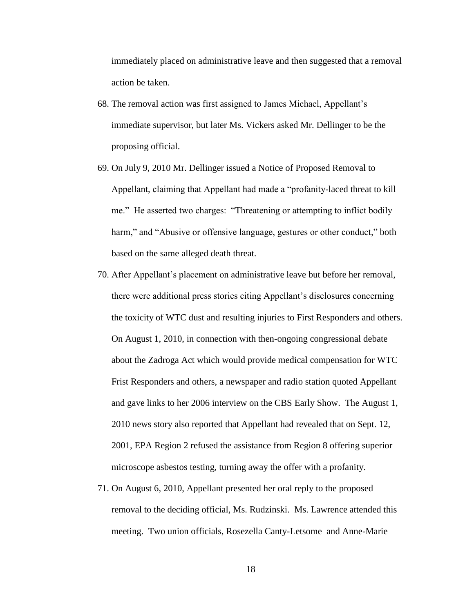immediately placed on administrative leave and then suggested that a removal action be taken.

- 68. The removal action was first assigned to James Michael, Appellant's immediate supervisor, but later Ms. Vickers asked Mr. Dellinger to be the proposing official.
- 69. On July 9, 2010 Mr. Dellinger issued a Notice of Proposed Removal to Appellant, claiming that Appellant had made a "profanity-laced threat to kill me." He asserted two charges: "Threatening or attempting to inflict bodily harm," and "Abusive or offensive language, gestures or other conduct," both based on the same alleged death threat.
- 70. After Appellant's placement on administrative leave but before her removal, there were additional press stories citing Appellant's disclosures concerning the toxicity of WTC dust and resulting injuries to First Responders and others. On August 1, 2010, in connection with then-ongoing congressional debate about the Zadroga Act which would provide medical compensation for WTC Frist Responders and others, a newspaper and radio station quoted Appellant and gave links to her 2006 interview on the CBS Early Show. The August 1, 2010 news story also reported that Appellant had revealed that on Sept. 12, 2001, EPA Region 2 refused the assistance from Region 8 offering superior microscope asbestos testing, turning away the offer with a profanity.
- 71. On August 6, 2010, Appellant presented her oral reply to the proposed removal to the deciding official, Ms. Rudzinski. Ms. Lawrence attended this meeting. Two union officials, Rosezella Canty-Letsome and Anne-Marie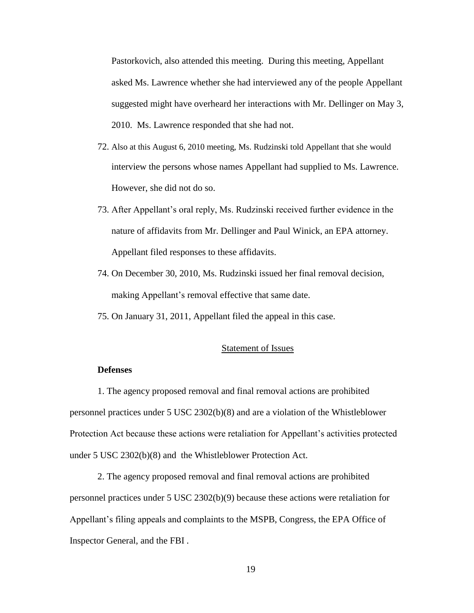Pastorkovich, also attended this meeting. During this meeting, Appellant asked Ms. Lawrence whether she had interviewed any of the people Appellant suggested might have overheard her interactions with Mr. Dellinger on May 3, 2010. Ms. Lawrence responded that she had not.

- 72. Also at this August 6, 2010 meeting, Ms. Rudzinski told Appellant that she would interview the persons whose names Appellant had supplied to Ms. Lawrence. However, she did not do so.
- 73. After Appellant's oral reply, Ms. Rudzinski received further evidence in the nature of affidavits from Mr. Dellinger and Paul Winick, an EPA attorney. Appellant filed responses to these affidavits.
- 74. On December 30, 2010, Ms. Rudzinski issued her final removal decision, making Appellant's removal effective that same date.
- 75. On January 31, 2011, Appellant filed the appeal in this case.

### Statement of Issues

#### **Defenses**

1. The agency proposed removal and final removal actions are prohibited personnel practices under 5 USC 2302(b)(8) and are a violation of the Whistleblower Protection Act because these actions were retaliation for Appellant's activities protected under 5 USC 2302(b)(8) and the Whistleblower Protection Act.

2. The agency proposed removal and final removal actions are prohibited personnel practices under 5 USC 2302(b)(9) because these actions were retaliation for Appellant's filing appeals and complaints to the MSPB, Congress, the EPA Office of Inspector General, and the FBI .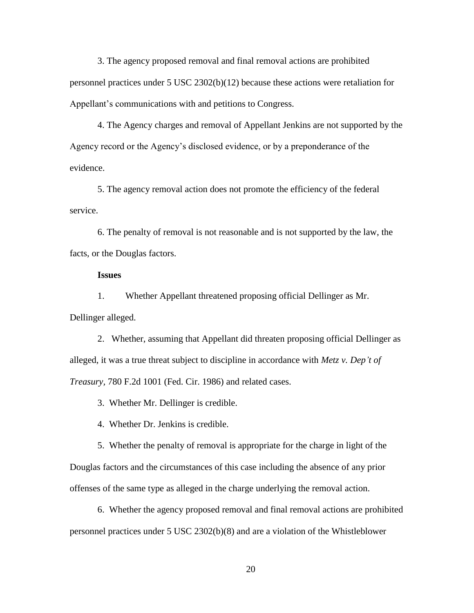3. The agency proposed removal and final removal actions are prohibited personnel practices under 5 USC 2302(b)(12) because these actions were retaliation for Appellant's communications with and petitions to Congress.

4. The Agency charges and removal of Appellant Jenkins are not supported by the Agency record or the Agency's disclosed evidence, or by a preponderance of the evidence.

5. The agency removal action does not promote the efficiency of the federal service.

6. The penalty of removal is not reasonable and is not supported by the law, the facts, or the Douglas factors.

#### **Issues**

1. Whether Appellant threatened proposing official Dellinger as Mr. Dellinger alleged.

2. Whether, assuming that Appellant did threaten proposing official Dellinger as alleged, it was a true threat subject to discipline in accordance with *Metz v. Dep't of Treasury,* 780 F.2d 1001 (Fed. Cir. 1986) and related cases.

3. Whether Mr. Dellinger is credible.

4. Whether Dr. Jenkins is credible.

5. Whether the penalty of removal is appropriate for the charge in light of the Douglas factors and the circumstances of this case including the absence of any prior offenses of the same type as alleged in the charge underlying the removal action.

6. Whether the agency proposed removal and final removal actions are prohibited personnel practices under 5 USC 2302(b)(8) and are a violation of the Whistleblower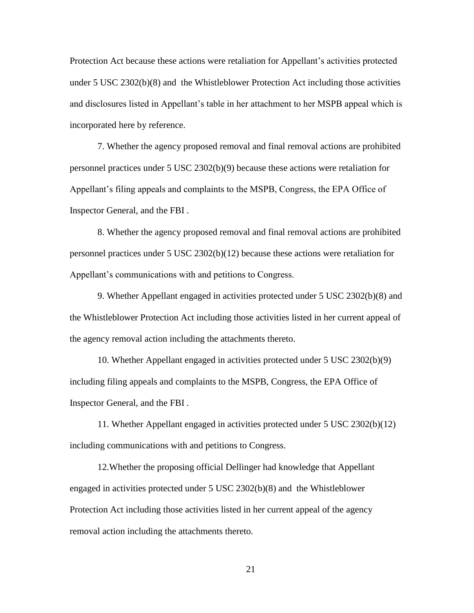Protection Act because these actions were retaliation for Appellant's activities protected under 5 USC 2302(b)(8) and the Whistleblower Protection Act including those activities and disclosures listed in Appellant's table in her attachment to her MSPB appeal which is incorporated here by reference.

7. Whether the agency proposed removal and final removal actions are prohibited personnel practices under 5 USC 2302(b)(9) because these actions were retaliation for Appellant's filing appeals and complaints to the MSPB, Congress, the EPA Office of Inspector General, and the FBI .

8. Whether the agency proposed removal and final removal actions are prohibited personnel practices under 5 USC 2302(b)(12) because these actions were retaliation for Appellant's communications with and petitions to Congress.

9. Whether Appellant engaged in activities protected under 5 USC 2302(b)(8) and the Whistleblower Protection Act including those activities listed in her current appeal of the agency removal action including the attachments thereto.

10. Whether Appellant engaged in activities protected under 5 USC 2302(b)(9) including filing appeals and complaints to the MSPB, Congress, the EPA Office of Inspector General, and the FBI .

11. Whether Appellant engaged in activities protected under 5 USC 2302(b)(12) including communications with and petitions to Congress.

12.Whether the proposing official Dellinger had knowledge that Appellant engaged in activities protected under 5 USC 2302(b)(8) and the Whistleblower Protection Act including those activities listed in her current appeal of the agency removal action including the attachments thereto.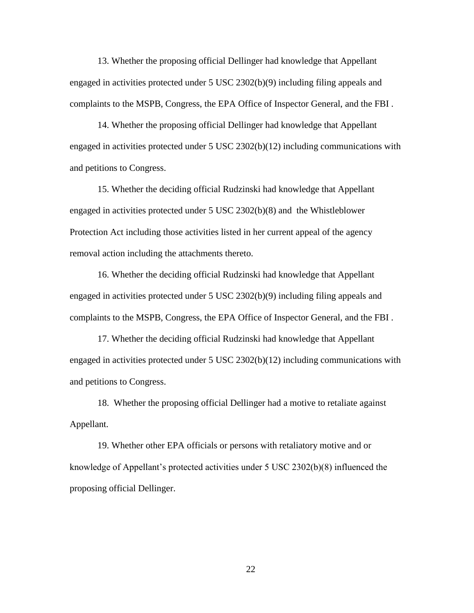13. Whether the proposing official Dellinger had knowledge that Appellant engaged in activities protected under 5 USC 2302(b)(9) including filing appeals and complaints to the MSPB, Congress, the EPA Office of Inspector General, and the FBI .

14. Whether the proposing official Dellinger had knowledge that Appellant engaged in activities protected under 5 USC 2302(b)(12) including communications with and petitions to Congress.

15. Whether the deciding official Rudzinski had knowledge that Appellant engaged in activities protected under 5 USC 2302(b)(8) and the Whistleblower Protection Act including those activities listed in her current appeal of the agency removal action including the attachments thereto.

16. Whether the deciding official Rudzinski had knowledge that Appellant engaged in activities protected under 5 USC 2302(b)(9) including filing appeals and complaints to the MSPB, Congress, the EPA Office of Inspector General, and the FBI .

17. Whether the deciding official Rudzinski had knowledge that Appellant engaged in activities protected under 5 USC 2302(b)(12) including communications with and petitions to Congress.

18. Whether the proposing official Dellinger had a motive to retaliate against Appellant.

19. Whether other EPA officials or persons with retaliatory motive and or knowledge of Appellant's protected activities under 5 USC 2302(b)(8) influenced the proposing official Dellinger.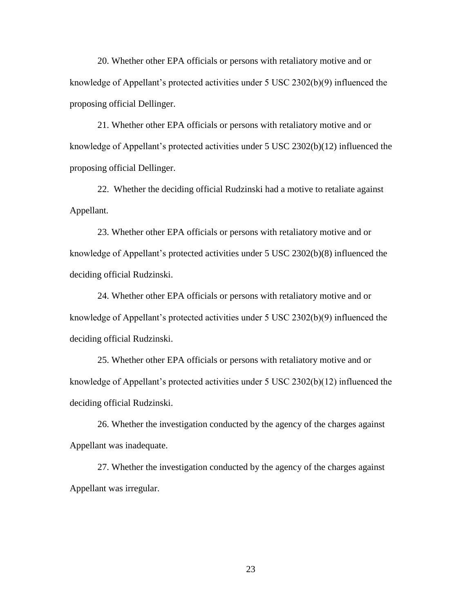20. Whether other EPA officials or persons with retaliatory motive and or knowledge of Appellant's protected activities under 5 USC 2302(b)(9) influenced the proposing official Dellinger.

21. Whether other EPA officials or persons with retaliatory motive and or knowledge of Appellant's protected activities under 5 USC 2302(b)(12) influenced the proposing official Dellinger.

22. Whether the deciding official Rudzinski had a motive to retaliate against Appellant.

23. Whether other EPA officials or persons with retaliatory motive and or knowledge of Appellant's protected activities under 5 USC 2302(b)(8) influenced the deciding official Rudzinski.

24. Whether other EPA officials or persons with retaliatory motive and or knowledge of Appellant's protected activities under 5 USC 2302(b)(9) influenced the deciding official Rudzinski.

25. Whether other EPA officials or persons with retaliatory motive and or knowledge of Appellant's protected activities under 5 USC 2302(b)(12) influenced the deciding official Rudzinski.

26. Whether the investigation conducted by the agency of the charges against Appellant was inadequate.

27. Whether the investigation conducted by the agency of the charges against Appellant was irregular.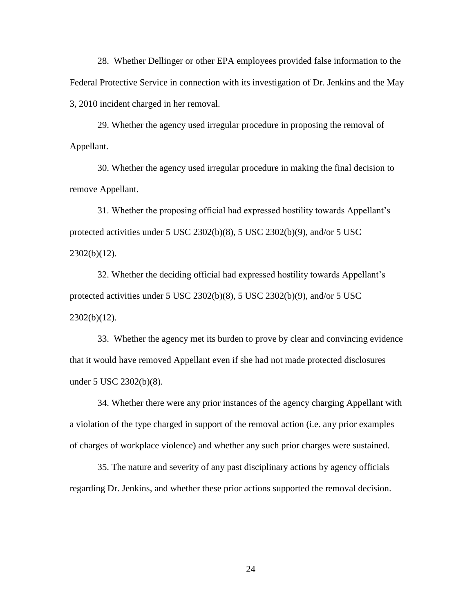28. Whether Dellinger or other EPA employees provided false information to the Federal Protective Service in connection with its investigation of Dr. Jenkins and the May 3, 2010 incident charged in her removal.

29. Whether the agency used irregular procedure in proposing the removal of Appellant.

30. Whether the agency used irregular procedure in making the final decision to remove Appellant.

31. Whether the proposing official had expressed hostility towards Appellant's protected activities under 5 USC 2302(b)(8), 5 USC 2302(b)(9), and/or 5 USC  $2302(b)(12)$ .

32. Whether the deciding official had expressed hostility towards Appellant's protected activities under 5 USC 2302(b)(8), 5 USC 2302(b)(9), and/or 5 USC  $2302(b)(12)$ .

33. Whether the agency met its burden to prove by clear and convincing evidence that it would have removed Appellant even if she had not made protected disclosures under 5 USC 2302(b)(8).

34. Whether there were any prior instances of the agency charging Appellant with a violation of the type charged in support of the removal action (i.e. any prior examples of charges of workplace violence) and whether any such prior charges were sustained.

35. The nature and severity of any past disciplinary actions by agency officials regarding Dr. Jenkins, and whether these prior actions supported the removal decision.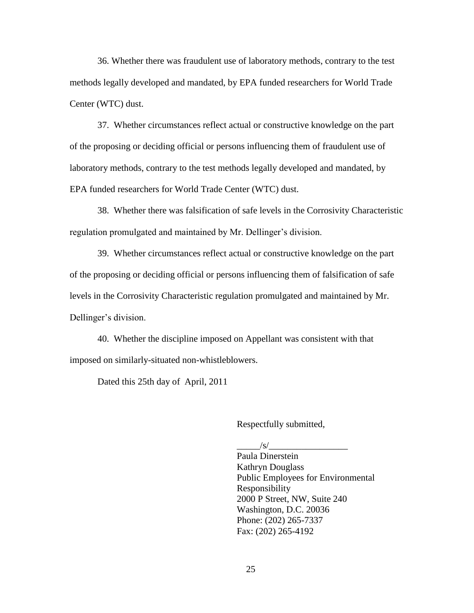36. Whether there was fraudulent use of laboratory methods, contrary to the test methods legally developed and mandated, by EPA funded researchers for World Trade Center (WTC) dust.

37. Whether circumstances reflect actual or constructive knowledge on the part of the proposing or deciding official or persons influencing them of fraudulent use of laboratory methods, contrary to the test methods legally developed and mandated, by EPA funded researchers for World Trade Center (WTC) dust.

38. Whether there was falsification of safe levels in the Corrosivity Characteristic regulation promulgated and maintained by Mr. Dellinger's division.

39. Whether circumstances reflect actual or constructive knowledge on the part of the proposing or deciding official or persons influencing them of falsification of safe levels in the Corrosivity Characteristic regulation promulgated and maintained by Mr. Dellinger's division.

40. Whether the discipline imposed on Appellant was consistent with that imposed on similarly-situated non-whistleblowers.

Dated this 25th day of April, 2011

Respectfully submitted,

 $/s/$ 

Paula Dinerstein Kathryn Douglass Public Employees for Environmental Responsibility 2000 P Street, NW, Suite 240 Washington, D.C. 20036 Phone: (202) 265-7337 Fax: (202) 265-4192